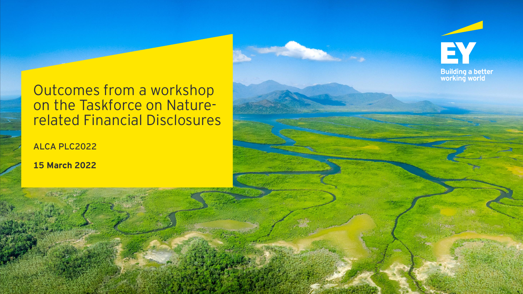# Outcomes from a workshop on the Taskforce on Naturerelated Financial Disclosures

EY

**Building a better<br>working world** 

ALCA PLC2022

**15 March 2022**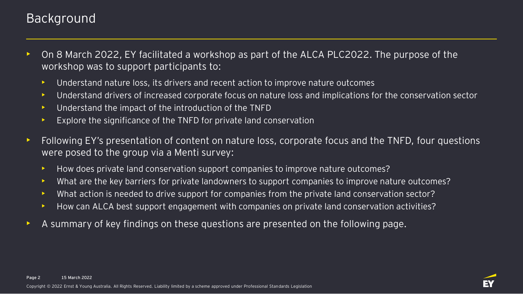### Background

- On 8 March 2022, EY facilitated a workshop as part of the ALCA PLC2022. The purpose of the workshop was to support participants to:
	- Understand nature loss, its drivers and recent action to improve nature outcomes
	- Understand drivers of increased corporate focus on nature loss and implications for the conservation sector
	- Understand the impact of the introduction of the TNFD
	- Explore the significance of the TNFD for private land conservation
- Following EY's presentation of content on nature loss, corporate focus and the TNFD, four questions were posed to the group via a Menti survey:
	- How does private land conservation support companies to improve nature outcomes?
	- What are the key barriers for private landowners to support companies to improve nature outcomes?
	- What action is needed to drive support for companies from the private land conservation sector?
	- How can ALCA best support engagement with companies on private land conservation activities?
- A summary of key findings on these questions are presented on the following page.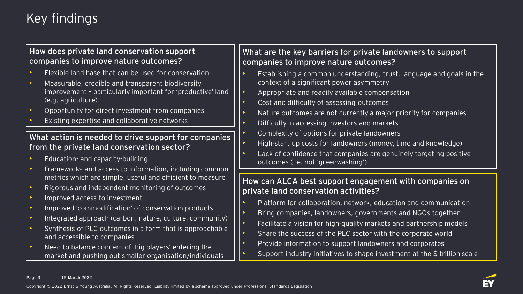## Key findings

#### **How does private land conservation support companies to improve nature outcomes?**

- Flexible land base that can be used for conservation
- Measurable, credible and transparent biodiversity improvement – particularly important for 'productive' land (e.g. agriculture)
- Opportunity for direct investment from companies
- Existing expertise and collaborative networks

#### **What action is needed to drive support for companies from the private land conservation sector?**

- Education- and capacity-building
- Frameworks and access to information, including common metrics which are simple, useful and efficient to measure
- Rigorous and independent monitoring of outcomes
- Improved access to investment
- Improved 'commodification' of conservation products
- Integrated approach (carbon, nature, culture, community)
- Synthesis of PLC outcomes in a form that is approachable and accessible to companies
- Need to balance concern of 'big players' entering the market and pushing out smaller organisation/individuals

### **What are the key barriers for private landowners to support companies to improve nature outcomes?**

- Establishing a common understanding, trust, language and goals in the context of a significant power asymmetry
- Appropriate and readily available compensation
- Cost and difficulty of assessing outcomes
- Nature outcomes are not currently a major priority for companies
- Difficulty in accessing investors and markets
- Complexity of options for private landowners
- High-start up costs for landowners (money, time and knowledge)
- Lack of confidence that companies are genuinely targeting positive outcomes (i.e. not 'greenwashing')

#### **How can ALCA best support engagement with companies on private land conservation activities?**

- Platform for collaboration, network, education and communication
- Bring companies, landowners, governments and NGOs together
- Facilitate a vision for high-quality markets and partnership models
- Share the success of the PLC sector with the corporate world
- Provide information to support landowners and corporates
- Support industry initiatives to shape investment at the \$ trillion scale